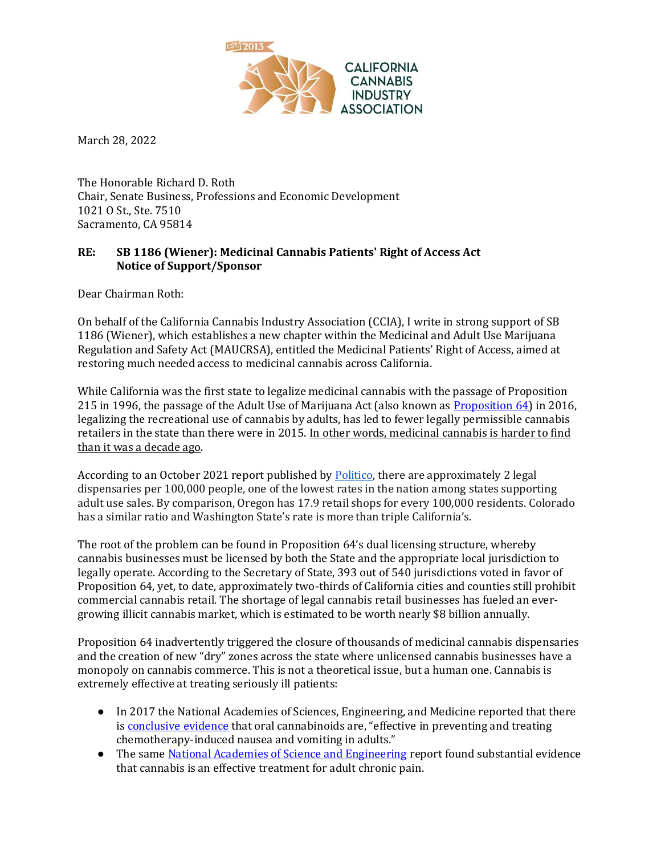

March 28, 2022

The Honorable Richard D. Roth Chair, Senate Business, Professions and Economic Development 1021 O St., Ste. 7510 Sacramento, CA 95814

## **RE: SB 1186 (Wiener): Medicinal Cannabis Patients' Right of Access Act Notice of Support/Sponsor**

Dear Chairman Roth:

On behalf of the California Cannabis Industry Association (CCIA), I write in strong support of SB 1186 (Wiener), which establishes a new chapter within the Medicinal and Adult Use Marijuana Regulation and Safety Act (MAUCRSA), entitled the Medicinal Patients' Right of Access, aimed at restoring much needed access to medicinal cannabis across California.

While California was the first state to legalize medicinal cannabis with the passage of Proposition 215 in 1996, the passage of the Adult Use of Marijuana Act (also known as [Proposition 64\)](https://ballotpedia.org/California_Proposition_64,_Marijuana_Legalization_(2016)) in 2016, legalizing the recreational use of cannabis by adults, has led to fewer legally permissible cannabis retailers in the state than there were in 2015. In other words, medicinal cannabis is harder to find than it was a decade ago.

According to an October 2021 report published by [Politico,](https://www.politico.com/news/2021/10/23/california-legal-illicit-weed-market-516868) there are approximately 2 legal dispensaries per 100,000 people, one of the lowest rates in the nation among states supporting adult use sales. By comparison, Oregon has 17.9 retail shops for every 100,000 residents. Colorado has a similar ratio and Washington State's rate is more than triple California's.

The root of the problem can be found in Proposition 64's dual licensing structure, whereby cannabis businesses must be licensed by both the State and the appropriate local jurisdiction to legally operate. According to the Secretary of State, 393 out of 540 jurisdictions voted in favor of Proposition 64, yet, to date, approximately two-thirds of California cities and counties still prohibit commercial cannabis retail. The shortage of legal cannabis retail businesses has fueled an evergrowing illicit cannabis market, which is estimated to be worth nearly \$8 billion annually.

Proposition 64 inadvertently triggered the closure of thousands of medicinal cannabis dispensaries and the creation of new "dry" zones across the state where unlicensed cannabis businesses have a monopoly on cannabis commerce. This is not a theoretical issue, but a human one. Cannabis is extremely effective at treating seriously ill patients:

- In 2017 the National Academies of Sciences, Engineering, and Medicine reported that there is [conclusive evidence](https://www.nationalacademies.org/news/2017/01/health-effects-of-marijuana-and-cannabis-derived-products-presented-in-new-report) that oral cannabinoids are, "effective in preventing and treating chemotherapy-induced nausea and vomiting in adults."
- The same [National Academies of Science and Engineering](https://www.nap.edu/read/24625/chapter/6#90) report found substantial evidence that cannabis is an effective treatment for adult chronic pain.